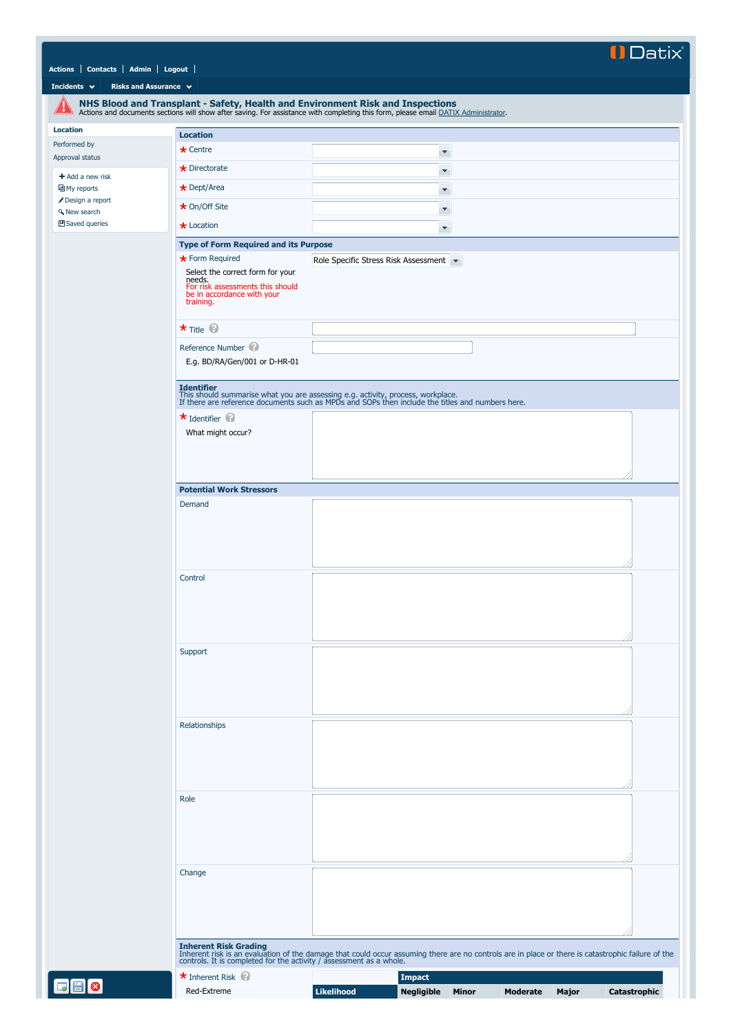## Il Datix

|  | Actions Contacts Admin Logout |  |  |
|--|-------------------------------|--|--|
|--|-------------------------------|--|--|

**[Incidents](javascript:if(CheckChange()){SendTo() v [Risks and Assurance](javascript:if(CheckChange()){SendTo() v** 

<span id="page-0-0"></span>

|                                 |                                                                                                                           | NHS Blood and Transplant - Safety, Health and Environment Risk and Inspections<br>Actions and documents sections will show after saving. For assistance with completing this form, please email DATIX Administrator.                 |
|---------------------------------|---------------------------------------------------------------------------------------------------------------------------|--------------------------------------------------------------------------------------------------------------------------------------------------------------------------------------------------------------------------------------|
| <b>Location</b>                 | <b>Location</b>                                                                                                           |                                                                                                                                                                                                                                      |
| Performed by                    | $\star$ Centre                                                                                                            | ×                                                                                                                                                                                                                                    |
| Approval status                 | $\star$ Directorate                                                                                                       |                                                                                                                                                                                                                                      |
| $+$ Add a new risk              |                                                                                                                           | ×                                                                                                                                                                                                                                    |
| 回 My reports<br>Design a report | * Dept/Area                                                                                                               | ۳                                                                                                                                                                                                                                    |
| <b>A</b> New search             | ★ On/Off Site                                                                                                             | ۳                                                                                                                                                                                                                                    |
| 凹 Saved queries                 | $\star$ Location                                                                                                          | ۳                                                                                                                                                                                                                                    |
|                                 | <b>Type of Form Required and its Purpose</b>                                                                              |                                                                                                                                                                                                                                      |
|                                 | * Form Required                                                                                                           | Role Specific Stress Risk Assessment                                                                                                                                                                                                 |
|                                 | Select the correct form for your<br>needs.<br>For risk assessments this should<br>be in accordance with your<br>training. |                                                                                                                                                                                                                                      |
|                                 | $\star$ Title $\circledcirc$                                                                                              |                                                                                                                                                                                                                                      |
|                                 | Reference Number                                                                                                          |                                                                                                                                                                                                                                      |
|                                 | E.g. BD/RA/Gen/001 or D-HR-01                                                                                             |                                                                                                                                                                                                                                      |
|                                 | <b>Identifier</b>                                                                                                         | This should summarise what you are assessing e.g. activity, process, workplace.<br>If there are reference documents such as MPDs and SOPs then include the titles and numbers here.                                                  |
|                                 | $\star$ Identifier<br>What might occur?                                                                                   |                                                                                                                                                                                                                                      |
|                                 |                                                                                                                           |                                                                                                                                                                                                                                      |
|                                 |                                                                                                                           |                                                                                                                                                                                                                                      |
|                                 |                                                                                                                           |                                                                                                                                                                                                                                      |
|                                 | <b>Potential Work Stressors</b>                                                                                           |                                                                                                                                                                                                                                      |
|                                 | Demand                                                                                                                    |                                                                                                                                                                                                                                      |
|                                 |                                                                                                                           |                                                                                                                                                                                                                                      |
|                                 | Control                                                                                                                   |                                                                                                                                                                                                                                      |
|                                 | Support                                                                                                                   |                                                                                                                                                                                                                                      |
|                                 |                                                                                                                           |                                                                                                                                                                                                                                      |
|                                 | Relationships                                                                                                             |                                                                                                                                                                                                                                      |
|                                 |                                                                                                                           |                                                                                                                                                                                                                                      |
|                                 | Role                                                                                                                      |                                                                                                                                                                                                                                      |
|                                 |                                                                                                                           |                                                                                                                                                                                                                                      |
|                                 |                                                                                                                           |                                                                                                                                                                                                                                      |
|                                 | Change                                                                                                                    |                                                                                                                                                                                                                                      |
|                                 |                                                                                                                           |                                                                                                                                                                                                                                      |
|                                 |                                                                                                                           | Inherent Risk Grading<br>Inherent risk is an evaluation of the damage that could occur assuming there are no controls are in place or there is catastrophic failure of the<br>controls. It is completed for the activity / assessmen |
|                                 | * Inherent Risk                                                                                                           | <b>Impact</b>                                                                                                                                                                                                                        |
| 88                              | Red-Extreme                                                                                                               | Likelihood<br>Negligible<br>Catastrophic<br>Minor<br>Moderate<br>Major                                                                                                                                                               |